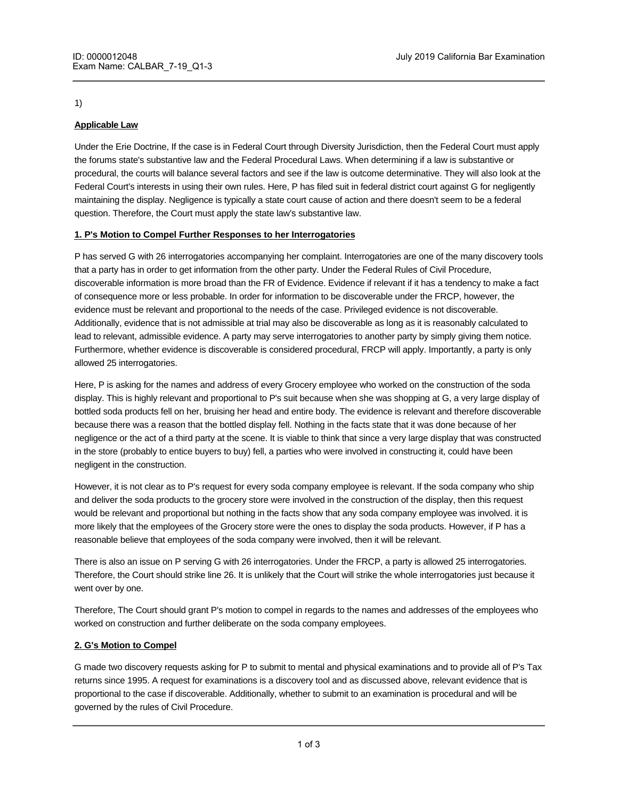#### 1)

# **Applicable Law**

Under the Erie Doctrine, If the case is in Federal Court through Diversity Jurisdiction, then the Federal Court must apply the forums state's substantive law and the Federal Procedural Laws. When determining if a law is substantive or procedural, the courts will balance several factors and see if the law is outcome determinative. They will also look at the Federal Court's interests in using their own rules. Here, P has filed suit in federal district court against G for negligently maintaining the display. Negligence is typically a state court cause of action and there doesn't seem to be a federal question. Therefore, the Court must apply the state law's substantive law.

# **1. P's Motion to Compel Further Responses to her Interrogatories**

P has served G with 26 interrogatories accompanying her complaint. Interrogatories are one of the many discovery tools that a party has in order to get information from the other party. Under the Federal Rules of Civil Procedure, discoverable information is more broad than the FR of Evidence. Evidence if relevant if it has a tendency to make a fact of consequence more or less probable. In order for information to be discoverable under the FRCP, however, the evidence must be relevant and proportional to the needs of the case. Privileged evidence is not discoverable. Additionally, evidence that is not admissible at trial may also be discoverable as long as it is reasonably calculated to lead to relevant, admissible evidence. A party may serve interrogatories to another party by simply giving them notice. Furthermore, whether evidence is discoverable is considered procedural, FRCP will apply. Importantly, a party is only allowed 25 interrogatories.

Here, P is asking for the names and address of every Grocery employee who worked on the construction of the soda display. This is highly relevant and proportional to P's suit because when she was shopping at G, a very large display of bottled soda products fell on her, bruising her head and entire body. The evidence is relevant and therefore discoverable because there was a reason that the bottled display fell. Nothing in the facts state that it was done because of her negligence or the act of a third party at the scene. It is viable to think that since a very large display that was constructed in the store (probably to entice buyers to buy) fell, a parties who were involved in constructing it, could have been negligent in the construction.

However, it is not clear as to P's request for every soda company employee is relevant. If the soda company who ship and deliver the soda products to the grocery store were involved in the construction of the display, then this request would be relevant and proportional but nothing in the facts show that any soda company employee was involved. it is more likely that the employees of the Grocery store were the ones to display the soda products. However, if P has a reasonable believe that employees of the soda company were involved, then it will be relevant.

There is also an issue on P serving G with 26 interrogatories. Under the FRCP, a party is allowed 25 interrogatories. Therefore, the Court should strike line 26. It is unlikely that the Court will strike the whole interrogatories just because it went over by one.

Therefore, The Court should grant P's motion to compel in regards to the names and addresses of the employees who worked on construction and further deliberate on the soda company employees.

# **2. G's Motion to Compel**

**Physical Examination**

G made two discovery requests asking for P to submit to mental and physical examinations and to provide all of P's Tax returns since 1995. A request for examinations is a discovery tool and as discussed above, relevant evidence that is proportional to the case if discoverable. Additionally, whether to submit to an examination is procedural and will be governed by the rules of Civil Procedure.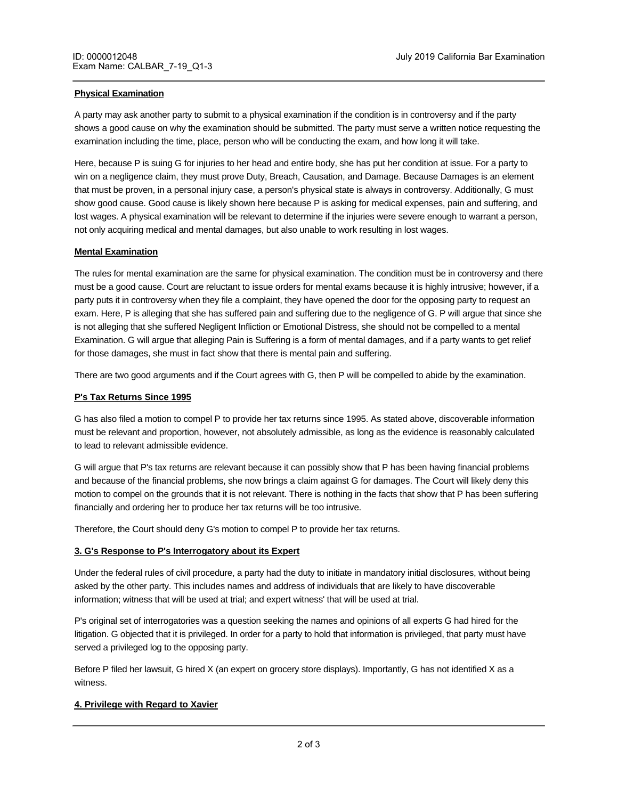#### **Physical Examination**

A party may ask another party to submit to a physical examination if the condition is in controversy and if the party shows a good cause on why the examination should be submitted. The party must serve a written notice requesting the examination including the time, place, person who will be conducting the exam, and how long it will take.

Here, because P is suing G for injuries to her head and entire body, she has put her condition at issue. For a party to win on a negligence claim, they must prove Duty, Breach, Causation, and Damage. Because Damages is an element that must be proven, in a personal injury case, a person's physical state is always in controversy. Additionally, G must show good cause. Good cause is likely shown here because P is asking for medical expenses, pain and suffering, and lost wages. A physical examination will be relevant to determine if the injuries were severe enough to warrant a person, not only acquiring medical and mental damages, but also unable to work resulting in lost wages.

#### **Mental Examination**

The rules for mental examination are the same for physical examination. The condition must be in controversy and there must be a good cause. Court are reluctant to issue orders for mental exams because it is highly intrusive; however, if a party puts it in controversy when they file a complaint, they have opened the door for the opposing party to request an exam. Here, P is alleging that she has suffered pain and suffering due to the negligence of G. P will argue that since she is not alleging that she suffered Negligent Infliction or Emotional Distress, she should not be compelled to a mental Examination. G will argue that alleging Pain is Suffering is a form of mental damages, and if a party wants to get relief for those damages, she must in fact show that there is mental pain and suffering.

There are two good arguments and if the Court agrees with G, then P will be compelled to abide by the examination.

### **P's Tax Returns Since 1995**

G has also filed a motion to compel P to provide her tax returns since 1995. As stated above, discoverable information must be relevant and proportion, however, not absolutely admissible, as long as the evidence is reasonably calculated to lead to relevant admissible evidence.

G will argue that P's tax returns are relevant because it can possibly show that P has been having financial problems and because of the financial problems, she now brings a claim against G for damages. The Court will likely deny this motion to compel on the grounds that it is not relevant. There is nothing in the facts that show that P has been suffering financially and ordering her to produce her tax returns will be too intrusive.

Therefore, the Court should deny G's motion to compel P to provide her tax returns.

#### **3. G's Response to P's Interrogatory about its Expert**

Under the federal rules of civil procedure, a party had the duty to initiate in mandatory initial disclosures, without being asked by the other party. This includes names and address of individuals that are likely to have discoverable information; witness that will be used at trial; and expert witness' that will be used at trial.

P's original set of interrogatories was a question seeking the names and opinions of all experts G had hired for the litigation. G objected that it is privileged. In order for a party to hold that information is privileged, that party must have served a privileged log to the opposing party.

Before P filed her lawsuit, G hired X (an expert on grocery store displays). Importantly, G has not identified X as a witness.

When or not information is privileged is procedural therefore,  $\bar{F}$ 

# **4. Privilege with Regard to Xavier**